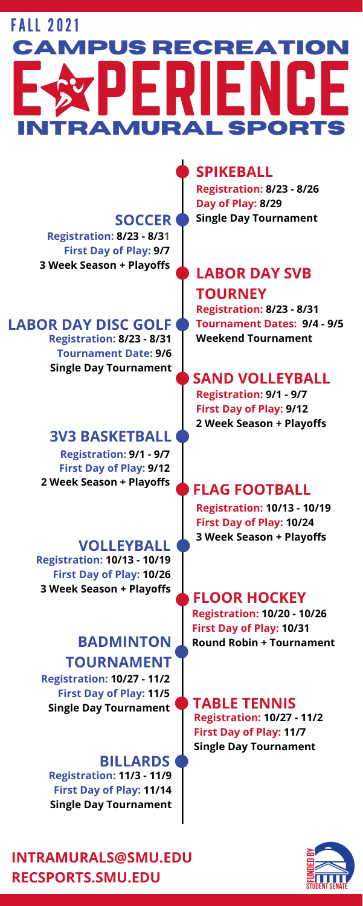**INTRAMURALS@SMU.EDU RECSPORTS.SMU.EDU**



# **SPIKEBALL**

**Registration: 8/23 - 8/26 Day of Play: 8/29 Single Day Tournament**

#### **SOCCER Registration: 8/23 - 8/31 First Day of Play: 9/7 3 Week Season + Playoffs**

# **LABOR DAY SVB TOURNEY**

**Registration: 8/23 - 8/31 Tournament Dates: 9/4 - 9/5 Weekend Tournament**

### **LABOR DAY DISC GOLF Registration: 8/23 - 8/31 Tournament Date: 9/6 Single Day Tournament**

# **SAND VOLLEYBALL**

**Registration: 9/1 - 9/7 First Day of Play: 9/12 2 Week Season + Playoffs**

# **3V3 BASKETBALL**

**Registration: 9/1 - 9/7 First Day of Play: 9/12 2 Week Season + Playoffs**

# FALL 2021 E SYPERIENCE **campus recreation Intramural sports**

# **FLAG FOOTBALL**

**Registration: 10/13 - 10/19 First Day of Play: 10/24 3 Week Season + Playoffs**

**VOLLEYBALL Registration: 10/13 - 10/19 First Day of Play: 10/26 3 Week Season + Playoffs**

> **Registration: 10/20 - 10/26 First Day of Play: 10/31 BADMINTON Round Robin + Tournament**

# **TOURNAMENT**

**Registration: 10/27 - 11/2 First Day of Play: 11/5 Single Day Tournament TABLE TENNIS**

**Registration: 10/27 - 11/2 First Day of Play: 11/7 Single Day Tournament**

**BILLARDS Registration: 11/3 - 11/9 First Day of Play: 11/14 Single Day Tournament**

# **FLOOR HOCKEY**